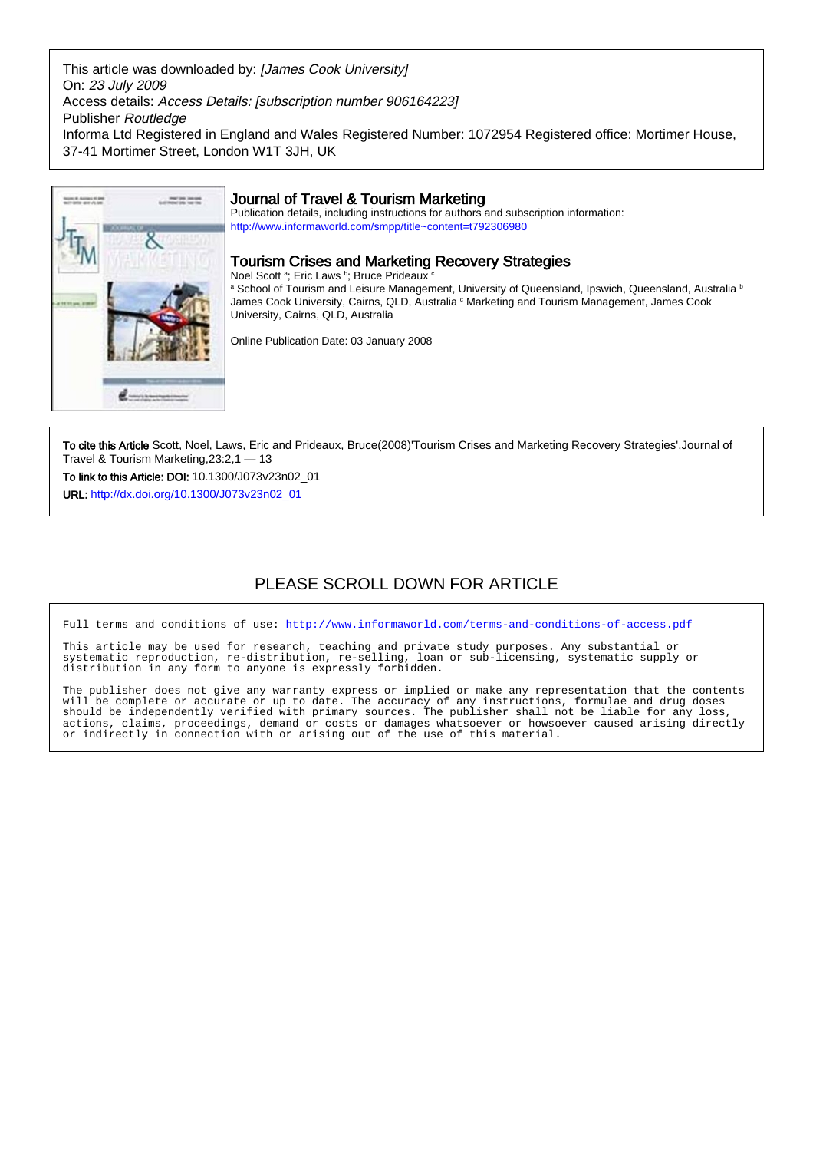This article was downloaded by: [James Cook University] On: 23 July 2009 Access details: Access Details: [subscription number 906164223] Publisher Routledge Informa Ltd Registered in England and Wales Registered Number: 1072954 Registered office: Mortimer House, 37-41 Mortimer Street, London W1T 3JH, UK



To cite this Article Scott, Noel, Laws, Eric and Prideaux, Bruce(2008)'Tourism Crises and Marketing Recovery Strategies',Journal of Travel & Tourism Marketing,23:2,1 — 13

To link to this Article: DOI: 10.1300/J073v23n02\_01

URL: [http://dx.doi.org/10.1300/J073v23n02\\_01](http://dx.doi.org/10.1300/J073v23n02_01)

## PLEASE SCROLL DOWN FOR ARTICLE

Full terms and conditions of use:<http://www.informaworld.com/terms-and-conditions-of-access.pdf>

This article may be used for research, teaching and private study purposes. Any substantial or systematic reproduction, re-distribution, re-selling, loan or sub-licensing, systematic supply or distribution in any form to anyone is expressly forbidden.

The publisher does not give any warranty express or implied or make any representation that the contents will be complete or accurate or up to date. The accuracy of any instructions, formulae and drug doses should be independently verified with primary sources. The publisher shall not be liable for any loss, actions, claims, proceedings, demand or costs or damages whatsoever or howsoever caused arising directly or indirectly in connection with or arising out of the use of this material.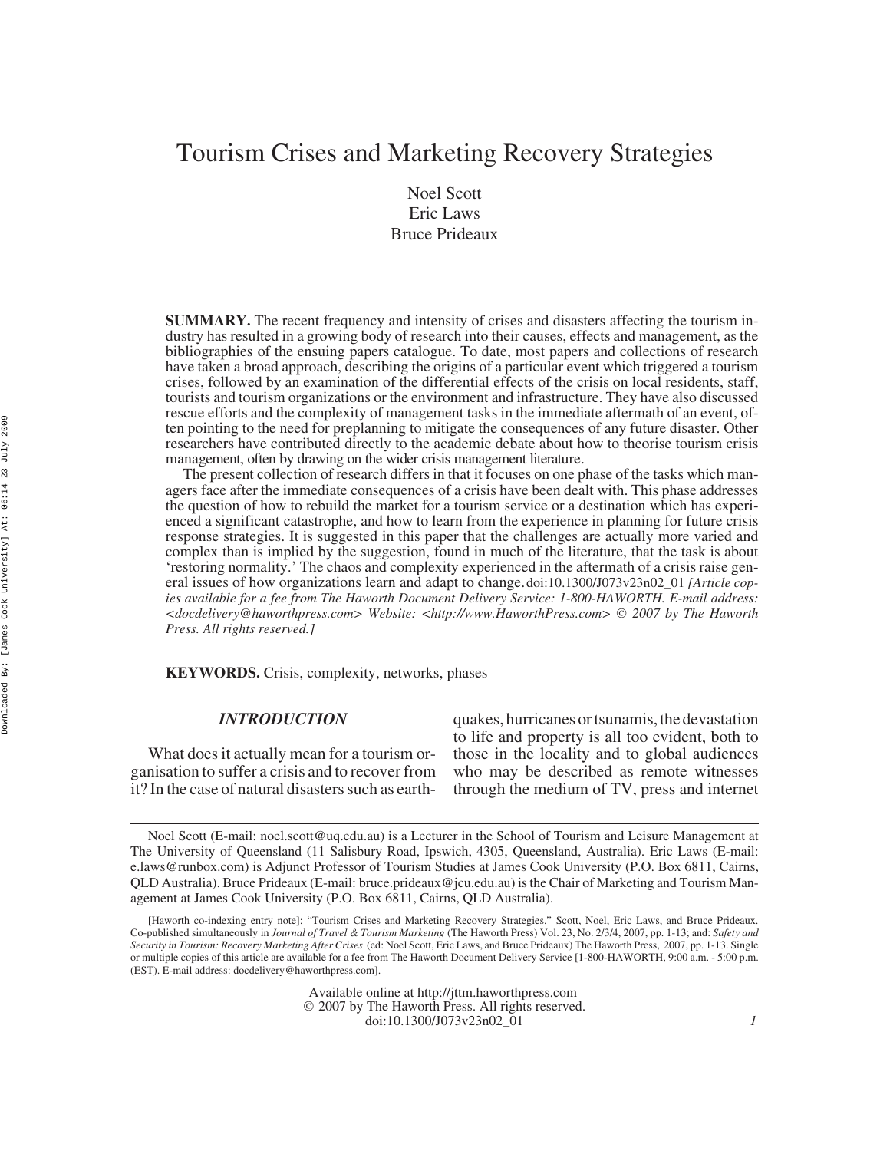# Tourism Crises and Marketing Recovery Strategies

Noel Scott Eric Laws Bruce Prideaux

**SUMMARY.** The recent frequency and intensity of crises and disasters affecting the tourism industry has resulted in a growing body of research into their causes, effects and management, as the bibliographies of the ensuing papers catalogue. To date, most papers and collections of research have taken a broad approach, describing the origins of a particular event which triggered a tourism crises, followed by an examination of the differential effects of the crisis on local residents, staff, tourists and tourism organizations or the environment and infrastructure. They have also discussed rescue efforts and the complexity of management tasks in the immediate aftermath of an event, often pointing to the need for preplanning to mitigate the consequences of any future disaster. Other researchers have contributed directly to the academic debate about how to theorise tourism crisis management, often by drawing on the wider crisis management literature.

The present collection of research differs in that it focuses on one phase of the tasks which managers face after the immediate consequences of a crisis have been dealt with. This phase addresses the question of how to rebuild the market for a tourism service or a destination which has experienced a significant catastrophe, and how to learn from the experience in planning for future crisis response strategies. It is suggested in this paper that the challenges are actually more varied and complex than is implied by the suggestion, found in much of the literature, that the task is about 'restoring normality.' The chaos and complexity experienced in the aftermath of a crisis raise general issues of how organizations learn and adapt to change.doi:10.1300/J073v23n02\_01 *[Article copies available for a fee from The Haworth Document Delivery Service: 1-800-HAWORTH. E-mail address: <docdelivery@haworthpress.com> Website: <http://www.HaworthPress.com> 2007 by The Haworth Press. All rights reserved.]*

**KEYWORDS.** Crisis, complexity, networks, phases

#### *INTRODUCTION*

What does it actually mean for a tourism organisation to suffer a crisis and to recover from it? In the case of natural disasters such as earth-

quakes, hurricanes or tsunamis, the devastation to life and property is all too evident, both to those in the locality and to global audiences who may be described as remote witnesses through the medium of TV, press and internet

Available online at http://jttm.haworthpress.com 2007 by The Haworth Press. All rights reserved. doi:10.1300/J073v23n02\_01 *1*

Noel Scott (E-mail: noel.scott@uq.edu.au) is a Lecturer in the School of Tourism and Leisure Management at The University of Queensland (11 Salisbury Road, Ipswich, 4305, Queensland, Australia). Eric Laws (E-mail: e.laws@runbox.com) is Adjunct Professor of Tourism Studies at James Cook University (P.O. Box 6811, Cairns, QLD Australia). Bruce Prideaux (E-mail: bruce.prideaux@jcu.edu.au) is the Chair of Marketing and Tourism Management at James Cook University (P.O. Box 6811, Cairns, QLD Australia).

<sup>[</sup>Haworth co-indexing entry note]: "Tourism Crises and Marketing Recovery Strategies." Scott, Noel, Eric Laws, and Bruce Prideaux. Co-published simultaneously in *Journal of Travel & Tourism Marketing* (The Haworth Press) Vol. 23, No. 2/3/4, 2007, pp. 1-13; and: *Safety and Security in Tourism: Recovery Marketing After Crises* (ed: Noel Scott, Eric Laws, and Bruce Prideaux) The Haworth Press, 2007, pp. 1-13. Single or multiple copies of this article are available for a fee from The Haworth Document Delivery Service [1-800-HAWORTH, 9:00 a.m. - 5:00 p.m. (EST). E-mail address: docdelivery@haworthpress.com].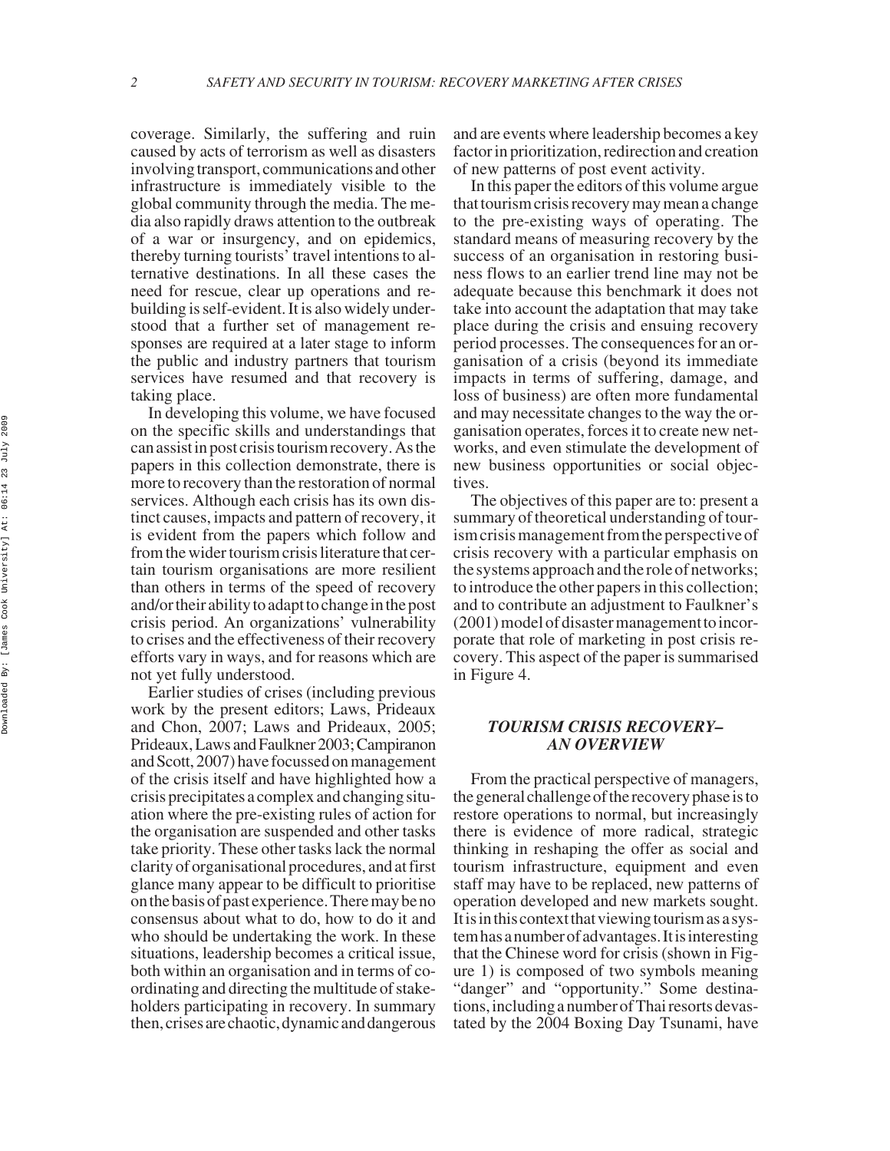coverage. Similarly, the suffering and ruin caused by acts of terrorism as well as disasters involving transport, communications and other infrastructure is immediately visible to the global community through the media. The media also rapidly draws attention to the outbreak of a war or insurgency, and on epidemics, thereby turning tourists' travel intentions to alternative destinations. In all these cases the need for rescue, clear up operations and rebuilding is self-evident. It is also widely understood that a further set of management responses are required at a later stage to inform the public and industry partners that tourism services have resumed and that recovery is taking place.

In developing this volume, we have focused on the specific skills and understandings that can assist in post crisis tourismrecovery. As the papers in this collection demonstrate, there is more to recovery than the restoration of normal services. Although each crisis has its own distinct causes, impacts and pattern of recovery, it is evident from the papers which follow and from the wider tourism crisis literature that certain tourism organisations are more resilient than others in terms of the speed of recovery and/or their ability to adapt to change in the post crisis period. An organizations' vulnerability to crises and the effectiveness of their recovery efforts vary in ways, and for reasons which are not yet fully understood.

Earlier studies of crises (including previous work by the present editors; Laws, Prideaux and Chon, 2007; Laws and Prideaux, 2005; Prideaux, Laws andFaulkner 2003;Campiranon and Scott, 2007) have focussed on management of the crisis itself and have highlighted how a crisis precipitatesa complex and changing situation where the pre-existing rules of action for the organisation are suspended and other tasks take priority. These other tasks lack the normal clarity of organisational procedures, and at first glance many appear to be difficult to prioritise onthebasisofpastexperience.Theremaybeno consensus about what to do, how to do it and who should be undertaking the work. In these situations, leadership becomes a critical issue, both within an organisation and in terms of coordinating and directing the multitude of stakeholders participating in recovery. In summary then,crisesarechaotic,dynamicanddangerous

and are events where leadership becomes a key factor in prioritization, redirection and creation of new patterns of post event activity.

In this paper the editors of this volume argue that tourism crisis recovery may mean a change to the pre-existing ways of operating. The standard means of measuring recovery by the success of an organisation in restoring business flows to an earlier trend line may not be adequate because this benchmark it does not take into account the adaptation that may take place during the crisis and ensuing recovery period processes. The consequences for an organisation of a crisis (beyond its immediate impacts in terms of suffering, damage, and loss of business) are often more fundamental and may necessitate changes to the way the organisation operates, forces it to create new networks, and even stimulate the development of new business opportunities or social objectives.

The objectives of this paper are to: present a summary of theoretical understanding of tourism crisis management from the perspective of crisis recovery with a particular emphasis on the systems approach and the role of networks; to introduce the other papers in this collection; and to contribute an adjustment to Faulkner's (2001)modelofdisaster managementtoincorporate that role of marketing in post crisis recovery. This aspect of the paper is summarised in Figure 4.

## *TOURISM CRISIS RECOVERY– AN OVERVIEW*

From the practical perspective of managers, the general challenge of the recovery phase is to restore operations to normal, but increasingly there is evidence of more radical, strategic thinking in reshaping the offer as social and tourism infrastructure, equipment and even staff may have to be replaced, new patterns of operation developed and new markets sought. It is in this context that viewing tourism as a systemhasanumberofadvantages.Itisinteresting that the Chinese word for crisis (shown in Figure 1) is composed of two symbols meaning "danger" and "opportunity." Some destinations, including a number of Thai resorts devastated by the 2004 Boxing Day Tsunami, have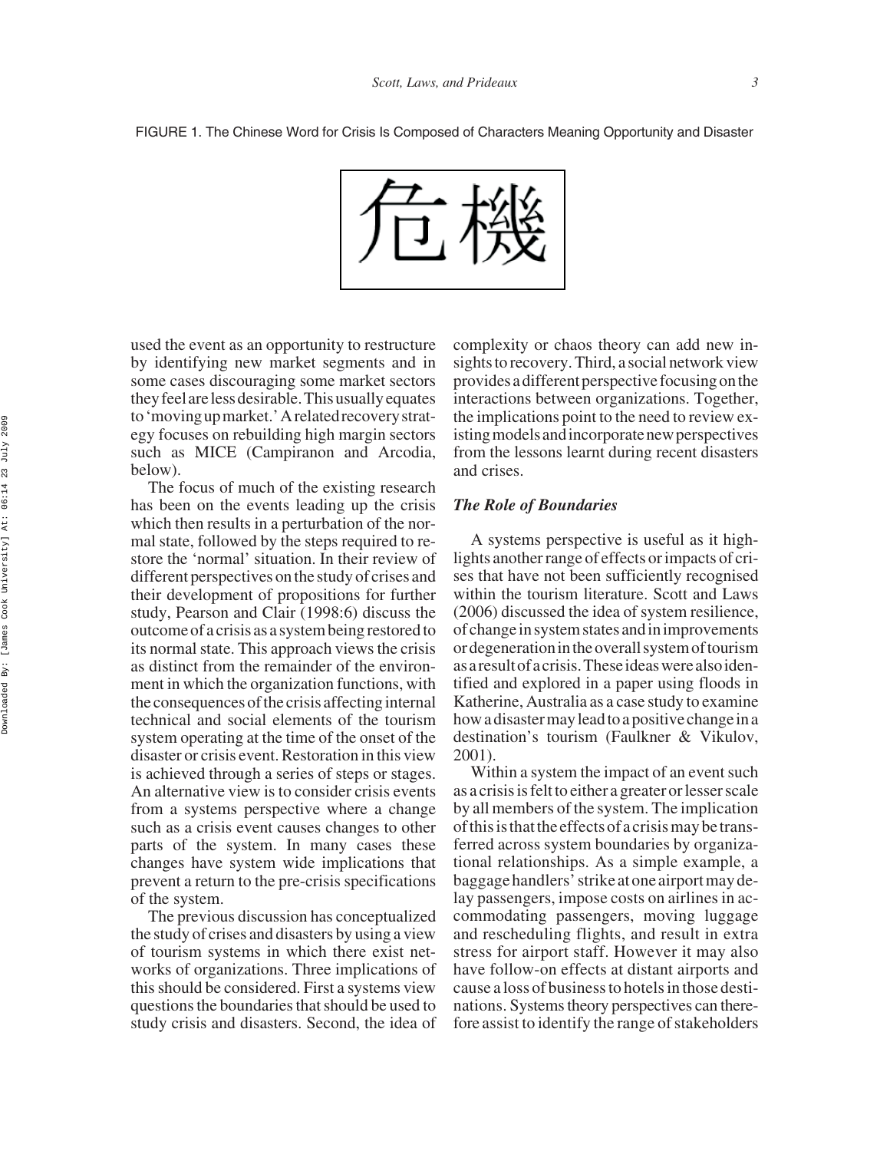

used the event as an opportunity to restructure by identifying new market segments and in some cases discouraging some market sectors theyfeelarelessdesirable.Thisusuallyequates to'movingupmarket.'Arelatedrecoverystrategy focuses on rebuilding high margin sectors such as MICE (Campiranon and Arcodia, below).

The focus of much of the existing research has been on the events leading up the crisis which then results in a perturbation of the normal state, followed by the steps required to restore the 'normal' situation. In their review of different perspectives on the study of crises and their development of propositions for further study, Pearson and Clair (1998:6) discuss the outcomeof a crisis as a system being restored to its normal state. This approach views the crisis as distinct from the remainder of the environment in which the organization functions, with the consequences of the crisis affecting internal technical and social elements of the tourism system operating at the time of the onset of the disaster or crisis event. Restoration in this view is achieved through a series of steps or stages. An alternative view is to consider crisis events from a systems perspective where a change such as a crisis event causes changes to other parts of the system. In many cases these changes have system wide implications that prevent a return to the pre-crisis specifications of the system.

The previous discussion has conceptualized the study of crises and disasters by using a view of tourism systems in which there exist networks of organizations. Three implications of this should be considered. First a systems view questions the boundaries that should be used to study crisis and disasters. Second, the idea of

complexity or chaos theory can add new insights to recovery. Third, a social network view provides a different perspective focusing on the interactions between organizations. Together, the implications point to the need to review existingmodelsandincorporatenewperspectives from the lessons learnt during recent disasters and crises.

#### *The Role of Boundaries*

A systems perspective is useful as it highlights another range of effects or impacts of crises that have not been sufficiently recognised within the tourism literature. Scott and Laws (2006) discussed the idea of system resilience, of change in system states and in improvements ordegenerationintheoverallsystemoftourism asaresultofacrisis.Theseideaswerealsoidentified and explored in a paper using floods in Katherine, Australia as a case study to examine how a disaster may lead to a positive change in a destination's tourism (Faulkner & Vikulov, 2001).

Within a system the impact of an event such as a crisis is felt to either a greater or lesser scale by all members of the system. The implication ofthisisthattheeffectsofacrisismaybetransferred across system boundaries by organizational relationships. As a simple example, a baggagehandlers'strikeatoneairportmaydelay passengers, impose costs on airlines in accommodating passengers, moving luggage and rescheduling flights, and result in extra stress for airport staff. However it may also have follow-on effects at distant airports and cause a loss of business to hotels in those destinations. Systems theory perspectives can therefore assist to identify the range of stakeholders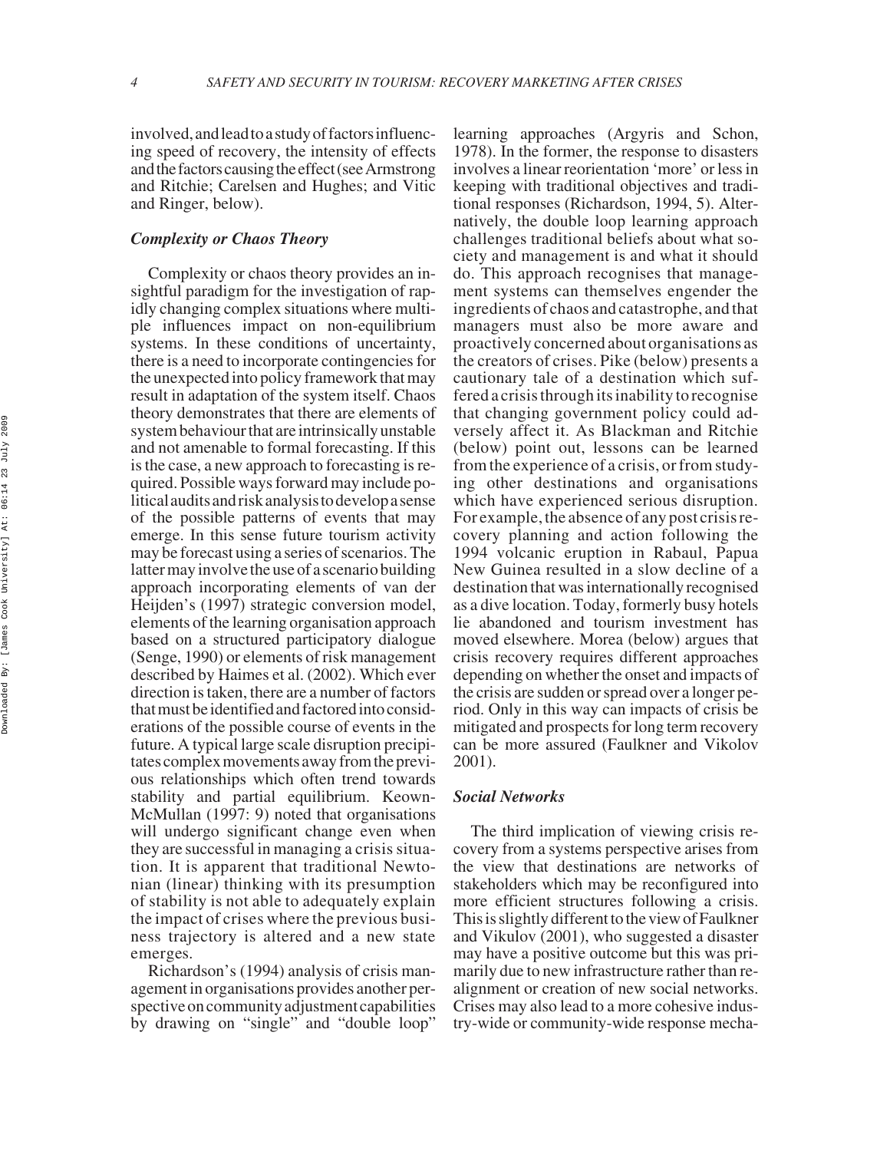involved,andleadtoastudyoffactorsinfluencing speed of recovery, the intensity of effects and the factors causing the effect (see Armstrong and Ritchie; Carelsen and Hughes; and Vitic and Ringer, below).

#### *Complexity or Chaos Theory*

Complexity or chaos theory provides an insightful paradigm for the investigation of rapidly changing complex situations where multiple influences impact on non-equilibrium systems. In these conditions of uncertainty, there is a need to incorporate contingencies for the unexpected into policy framework that may result in adaptation of the system itself. Chaos theory demonstrates that there are elements of system behaviour that are intrinsicallyunstable and not amenable to formal forecasting. If this is the case, a new approach to forecasting is required. Possible ways forward may include political audits and risk analysis to develop a sense of the possible patterns of events that may emerge. In this sense future tourism activity may be forecast using a series of scenarios. The latter may involve the use of a scenario building approach incorporating elements of van der Heijden's (1997) strategic conversion model, elements of the learning organisation approach based on a structured participatory dialogue (Senge, 1990) or elements of risk management described by Haimes et al. (2002). Which ever direction is taken, there are a number of factors that must be identified and factored into considerations of the possible course of events in the future. A typical large scale disruption precipitates complex movements away from the previous relationships which often trend towards stability and partial equilibrium. Keown-McMullan (1997: 9) noted that organisations will undergo significant change even when they are successful in managing a crisis situation. It is apparent that traditional Newtonian (linear) thinking with its presumption of stability is not able to adequately explain the impact of crises where the previous business trajectory is altered and a new state emerges.

Richardson's (1994) analysis of crisis management in organisations provides another perspective on community adjustment capabilities by drawing on "single" and "double loop" learning approaches (Argyris and Schon, 1978). In the former, the response to disasters involves a linear reorientation 'more' or less in keeping with traditional objectives and traditional responses (Richardson, 1994, 5). Alternatively, the double loop learning approach challenges traditional beliefs about what society and management is and what it should do. This approach recognises that management systems can themselves engender the ingredients of chaos and catastrophe, and that managers must also be more aware and proactivelyconcernedaboutorganisationsas the creators of crises. Pike (below) presents a cautionary tale of a destination which suffered a crisis through its inability to recognise that changing government policy could adversely affect it. As Blackman and Ritchie (below) point out, lessons can be learned from the experience of a crisis, or from studying other destinations and organisations which have experienced serious disruption. For example, the absence of any post crisis recovery planning and action following the 1994 volcanic eruption in Rabaul, Papua New Guinea resulted in a slow decline of a destination that was internationally recognised as a dive location. Today, formerly busy hotels lie abandoned and tourism investment has moved elsewhere. Morea (below) argues that crisis recovery requires different approaches depending on whether the onset and impacts of the crisis are sudden or spread over a longer period. Only in this way can impacts of crisis be mitigated and prospects for long term recovery can be more assured (Faulkner and Vikolov 2001).

#### *Social Networks*

The third implication of viewing crisis recovery from a systems perspective arises from the view that destinations are networks of stakeholders which may be reconfigured into more efficient structures following a crisis. This is slightly different to the view of Faulkner and Vikulov (2001), who suggested a disaster may have a positive outcome but this was primarily due to new infrastructure rather than realignment or creation of new social networks. Crises may also lead to a more cohesive industry-wide or community-wide response mecha-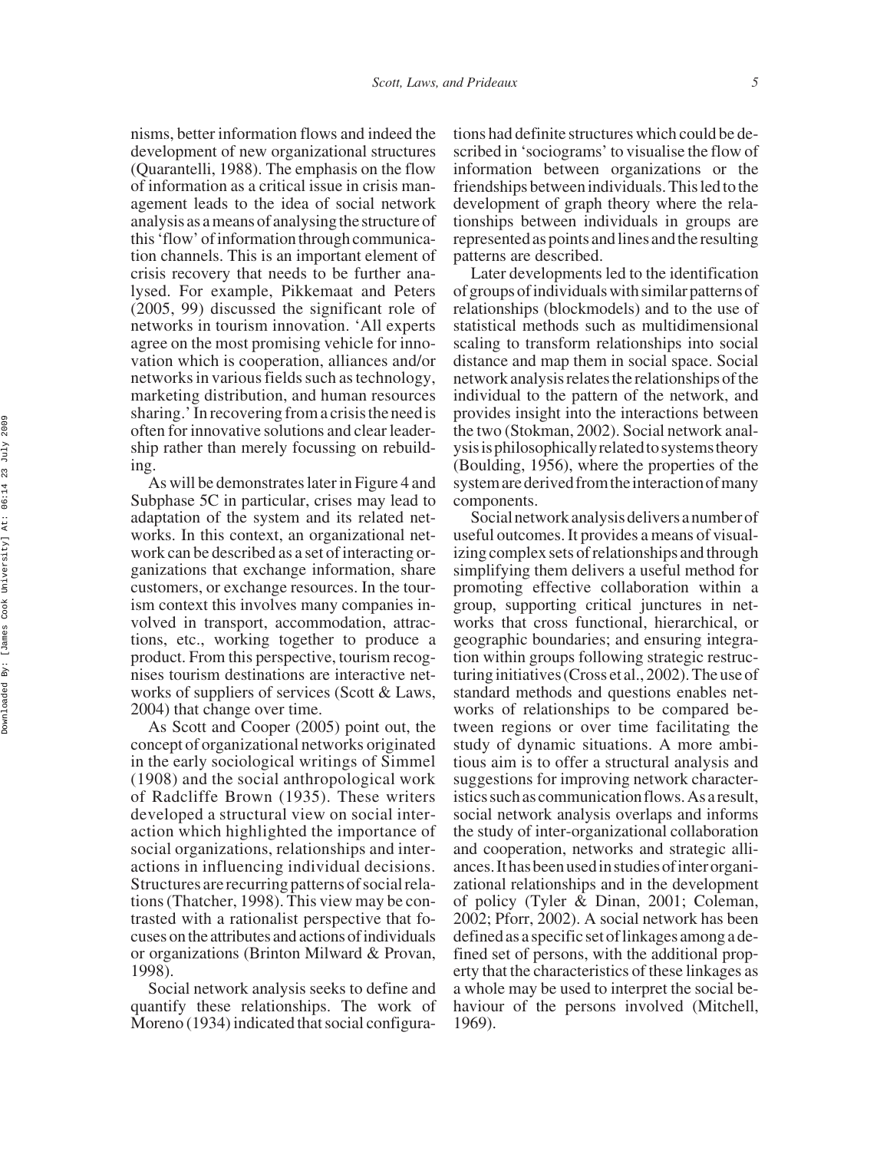nisms, better information flows and indeed the development of new organizational structures (Quarantelli, 1988). The emphasis on the flow of information as a critical issue in crisis management leads to the idea of social network analysis as a means of analysing the structure of this 'flow' of information through communication channels. This is an important element of crisis recovery that needs to be further analysed. For example, Pikkemaat and Peters (2005, 99) discussed the significant role of networks in tourism innovation. 'All experts agree on the most promising vehicle for innovation which is cooperation, alliances and/or networks in various fields such as technology, marketing distribution, and human resources sharing.' In recovering from a crisis the need is often for innovative solutions and clear leadership rather than merely focussing on rebuilding.

As will be demonstrates later in Figure 4 and Subphase 5C in particular, crises may lead to adaptation of the system and its related networks. In this context, an organizational network can be described as a set of interacting organizations that exchange information, share customers, or exchange resources. In the tourism context this involves many companies involved in transport, accommodation, attractions, etc., working together to produce a product. From this perspective, tourism recognises tourism destinations are interactive networks of suppliers of services (Scott & Laws, 2004) that change over time.

As Scott and Cooper (2005) point out, the concept of organizational networks originated in the early sociological writings of Simmel (1908) and the social anthropological work of Radcliffe Brown (1935). These writers developed a structural view on social interaction which highlighted the importance of social organizations, relationships and interactions in influencing individual decisions. Structures are recurring patterns of social relations (Thatcher, 1998). This view may be contrasted with a rationalist perspective that focuses on the attributes and actions of individuals or organizations (Brinton Milward & Provan, 1998).

Social network analysis seeks to define and quantify these relationships. The work of Moreno (1934) indicated that social configurations had definite structures which could be described in 'sociograms' to visualise the flow of information between organizations or the friendships between individuals. This led to the development of graph theory where the relationships between individuals in groups are represented as points and lines and the resulting patterns are described.

Later developments led to the identification of groups of individualswith similarpatternsof relationships (blockmodels) and to the use of statistical methods such as multidimensional scaling to transform relationships into social distance and map them in social space. Social network analysis relates the relationships of the individual to the pattern of the network, and provides insight into the interactions between the two (Stokman, 2002). Social network analysisisphilosophicallyrelatedtosystemstheory (Boulding, 1956), where the properties of the system are derived from the interaction of many components.

Socialnetworkanalysisdeliversanumberof useful outcomes. It provides a means of visualizing complex sets of relationships and through simplifying them delivers a useful method for promoting effective collaboration within a group, supporting critical junctures in networks that cross functional, hierarchical, or geographic boundaries; and ensuring integration within groups following strategic restructuring initiatives(Cross et al., 2002). The use of standard methods and questions enables networks of relationships to be compared between regions or over time facilitating the study of dynamic situations. A more ambitious aim is to offer a structural analysis and suggestions for improving network characteristics such as communication flows. As a result, social network analysis overlaps and informs the study of inter-organizational collaboration and cooperation, networks and strategic alliances.Ithasbeenusedinstudiesofinterorganizational relationships and in the development of policy (Tyler & Dinan, 2001; Coleman, 2002; Pforr, 2002). A social network has been defined as a specific set of linkages among a defined set of persons, with the additional property that the characteristics of these linkages as a whole may be used to interpret the social behaviour of the persons involved (Mitchell, 1969).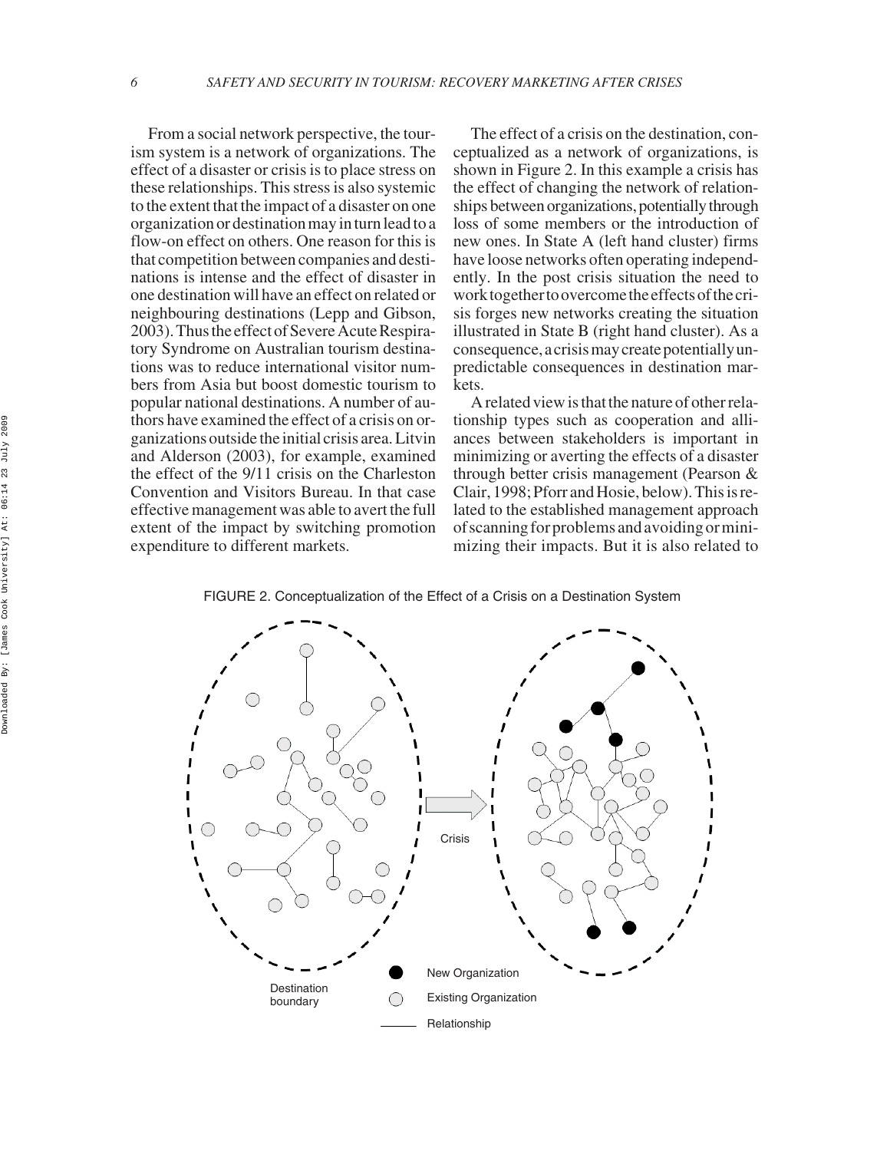From a social network perspective, the tourism system is a network of organizations. The effect of a disaster or crisis is to place stress on these relationships. This stress is also systemic to the extent that the impact of a disaster on one organizationor destination may in turn lead to a flow-on effect on others. One reason for this is that competition between companies and destinations is intense and the effect of disaster in one destination will have an effect on related or neighbouring destinations (Lepp and Gibson, 2003). Thus the effect of Severe Acute Respiratory Syndrome on Australian tourism destinations was to reduce international visitor numbers from Asia but boost domestic tourism to popular national destinations. A number of authors have examined the effect of a crisis on organizations outside the initial crisis area. Litvin and Alderson (2003), for example, examined the effect of the 9/11 crisis on the Charleston Convention and Visitors Bureau. In that case effective management was able to avert the full extent of the impact by switching promotion expenditure to different markets.

The effect of a crisis on the destination, conceptualized as a network of organizations, is shown in Figure 2. In this example a crisis has the effect of changing the network of relationships between organizations, potentially through loss of some members or the introduction of new ones. In State A (left hand cluster) firms have loose networks often operating independently. In the post crisis situation the need to worktogethertoovercometheeffectsofthecrisis forges new networks creating the situation illustrated in State B (right hand cluster). As a consequence,acrisismaycreatepotentiallyunpredictable consequences in destination markets.

A related view is that the nature of other relationship types such as cooperation and alliances between stakeholders is important in minimizing or averting the effects of a disaster through better crisis management (Pearson & Clair, 1998; Pforr and Hosie, below). This is related to the established management approach ofscanningforproblemsandavoidingorminimizing their impacts. But it is also related to

FIGURE 2. Conceptualization of the Effect of a Crisis on a Destination System

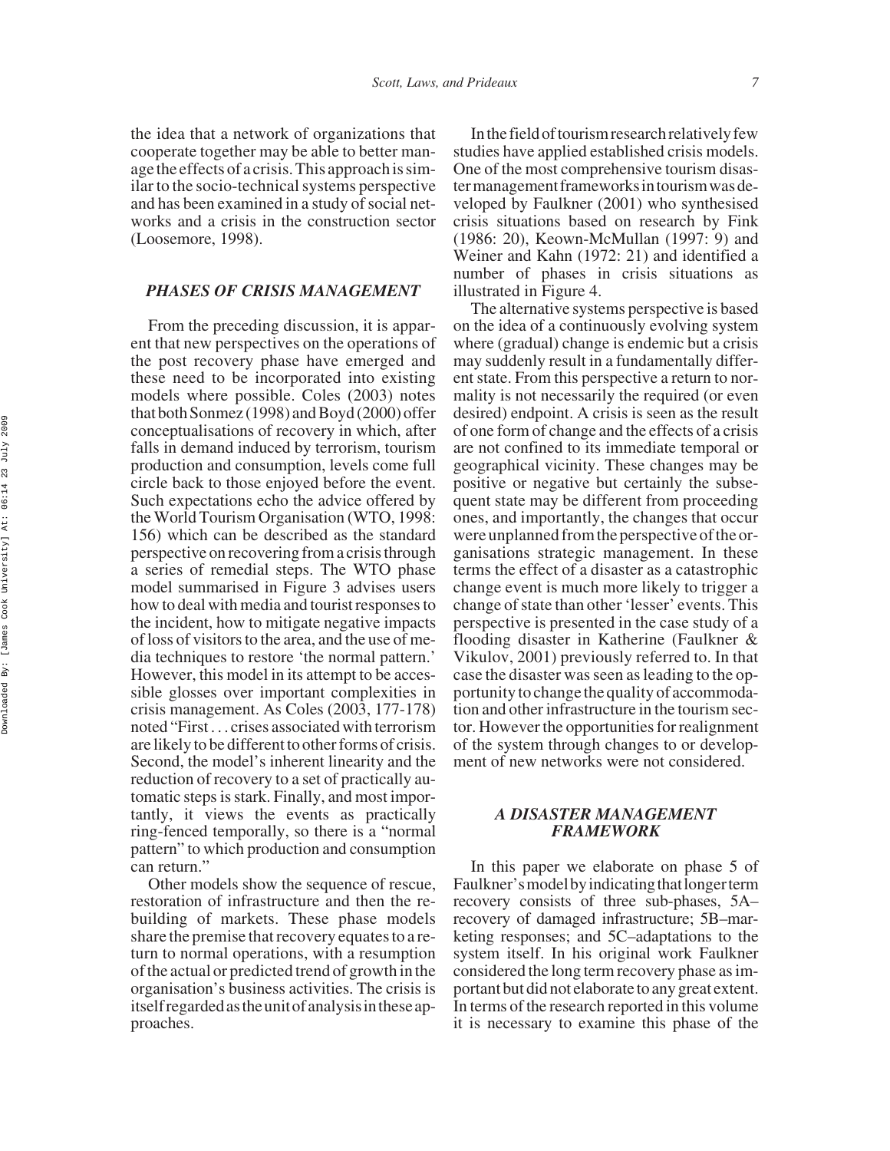the idea that a network of organizations that cooperate together may be able to better managetheeffectsofacrisis.Thisapproachissimilar to the socio-technical systems perspective and has been examined in a study of social networks and a crisis in the construction sector (Loosemore, 1998).

#### *PHASES OF CRISIS MANAGEMENT*

From the preceding discussion, it is apparent that new perspectives on the operations of the post recovery phase have emerged and these need to be incorporated into existing models where possible. Coles (2003) notes that both Sonmez  $(1998)$  and Boyd  $(2000)$  offer conceptualisations of recovery in which, after falls in demand induced by terrorism, tourism production and consumption, levels come full circle back to those enjoyed before the event. Such expectations echo the advice offered by the World Tourism Organisation (WTO, 1998: 156) which can be described as the standard perspective on recovering from a crisis through a series of remedial steps. The WTO phase model summarised in Figure 3 advises users how to deal with media and tourist responses to the incident, how to mitigate negative impacts of loss of visitors to the area, and the use of media techniques to restore 'the normal pattern.' However, this model in its attempt to be accessible glosses over important complexities in crisis management. As Coles (2003, 177-178) noted "First . . . crises associated with terrorism are likely to be different to other forms of crisis. Second, the model's inherent linearity and the reduction of recovery to a set of practically automatic steps is stark. Finally, and most importantly, it views the events as practically ring-fenced temporally, so there is a "normal pattern" to which production and consumption can return."

Other models show the sequence of rescue, restoration of infrastructure and then the rebuilding of markets. These phase models share the premise that recovery equates to a return to normal operations, with a resumption of the actual or predicted trend of growth in the organisation's business activities. The crisis is itselfregardedastheunitofanalysisintheseapproaches.

Inthefieldoftourismresearchrelativelyfew studies have applied established crisis models. One of the most comprehensive tourism disastermanagementframeworksintourismwasdeveloped by Faulkner (2001) who synthesised crisis situations based on research by Fink (1986: 20), Keown-McMullan (1997: 9) and Weiner and Kahn (1972: 21) and identified a number of phases in crisis situations as illustrated in Figure 4.

The alternative systems perspective is based on the idea of a continuously evolving system where (gradual) change is endemic but a crisis may suddenly result in a fundamentally different state. From this perspective a return to normality is not necessarily the required (or even desired) endpoint. A crisis is seen as the result of one form of change and the effects of a crisis are not confined to its immediate temporal or geographical vicinity. These changes may be positive or negative but certainly the subsequent state may be different from proceeding ones, and importantly, the changes that occur were unplanned from the perspective of the organisations strategic management. In these terms the effect of a disaster as a catastrophic change event is much more likely to trigger a change of state than other 'lesser' events. This perspective is presented in the case study of a flooding disaster in Katherine (Faulkner & Vikulov, 2001) previously referred to. In that case the disaster was seen as leading to the opportunity to change the quality of accommodation and other infrastructure in the tourism sector. However the opportunities for realignment of the system through changes to or development of new networks were not considered.

#### *A DISASTER MANAGEMENT FRAMEWORK*

In this paper we elaborate on phase 5 of Faulkner's model by indicating that longer term recovery consists of three sub-phases, 5A– recovery of damaged infrastructure; 5B–marketing responses; and 5C–adaptations to the system itself. In his original work Faulkner considered the long term recovery phase as important but did not elaborate to any great extent. In terms of the research reported in this volume it is necessary to examine this phase of the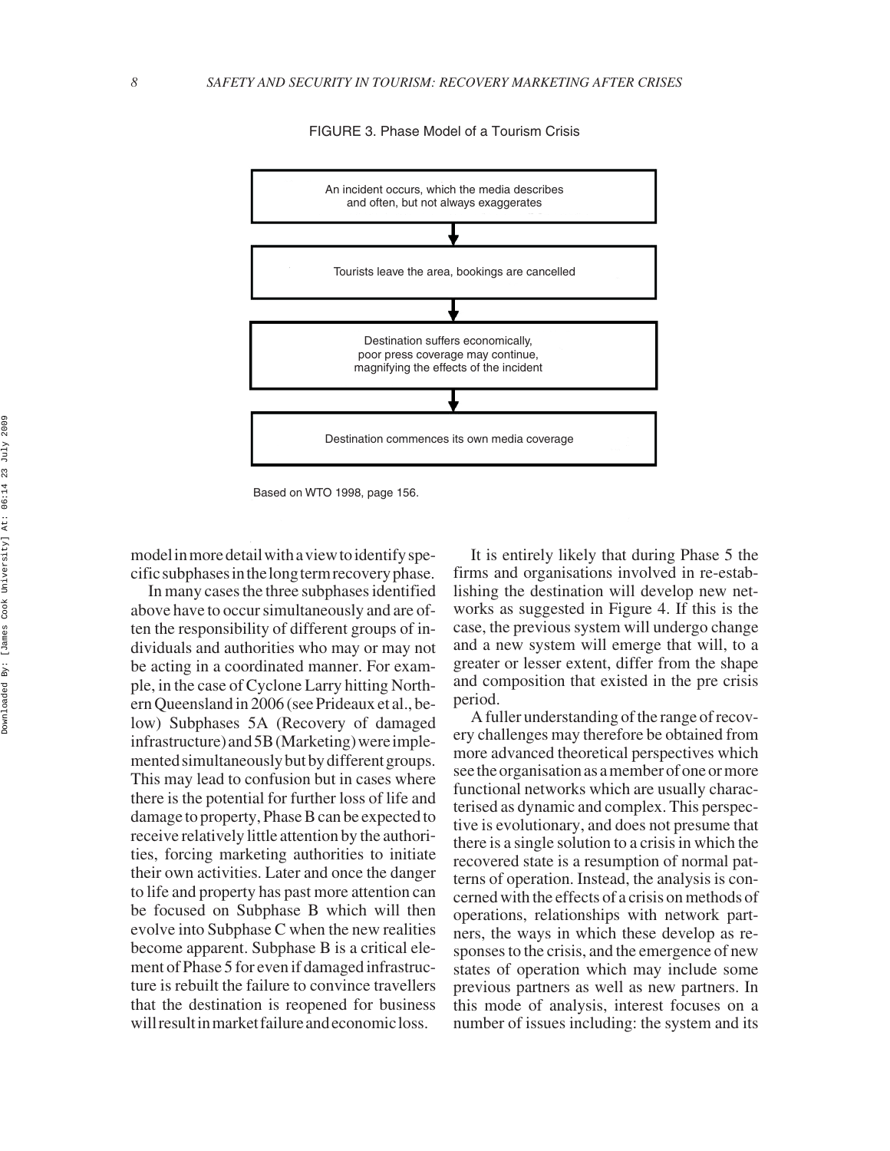FIGURE 3. Phase Model of a Tourism Crisis



Based on WTO 1998, page 156.

model in more detail with a view to identify specificsubphasesinthelongtermrecoveryphase.

In many cases the three subphases identified above have to occur simultaneously and are often the responsibility of different groups of individuals and authorities who may or may not be acting in a coordinated manner. For example, in the case of Cyclone Larry hitting Northern Queensland in 2006 (see Prideaux et al., below) Subphases 5A (Recovery of damaged infrastructure) and 5B (Marketing) were implemented simultaneously but by different groups. This may lead to confusion but in cases where there is the potential for further loss of life and damage to property, Phase B can be expected to receive relatively little attention by the authorities, forcing marketing authorities to initiate their own activities. Later and once the danger to life and property has past more attention can be focused on Subphase B which will then evolve into Subphase C when the new realities become apparent. Subphase B is a critical element of Phase 5 for even if damaged infrastructure is rebuilt the failure to convince travellers that the destination is reopened for business will result in market failure and economic loss.

It is entirely likely that during Phase 5 the firms and organisations involved in re-establishing the destination will develop new networks as suggested in Figure 4. If this is the case, the previous system will undergo change and a new system will emerge that will, to a greater or lesser extent, differ from the shape and composition that existed in the pre crisis period.

A fuller understanding of the range of recovery challenges may therefore be obtained from more advanced theoretical perspectives which see the organisation as a member of one or more functional networks which are usually characterised as dynamic and complex. This perspective is evolutionary, and does not presume that there is a single solution to a crisis in which the recovered state is a resumption of normal patterns of operation. Instead, the analysis is concerned with the effects of a crisis on methods of operations, relationships with network partners, the ways in which these develop as responses to the crisis, and the emergence of new states of operation which may include some previous partners as well as new partners. In this mode of analysis, interest focuses on a number of issues including: the system and its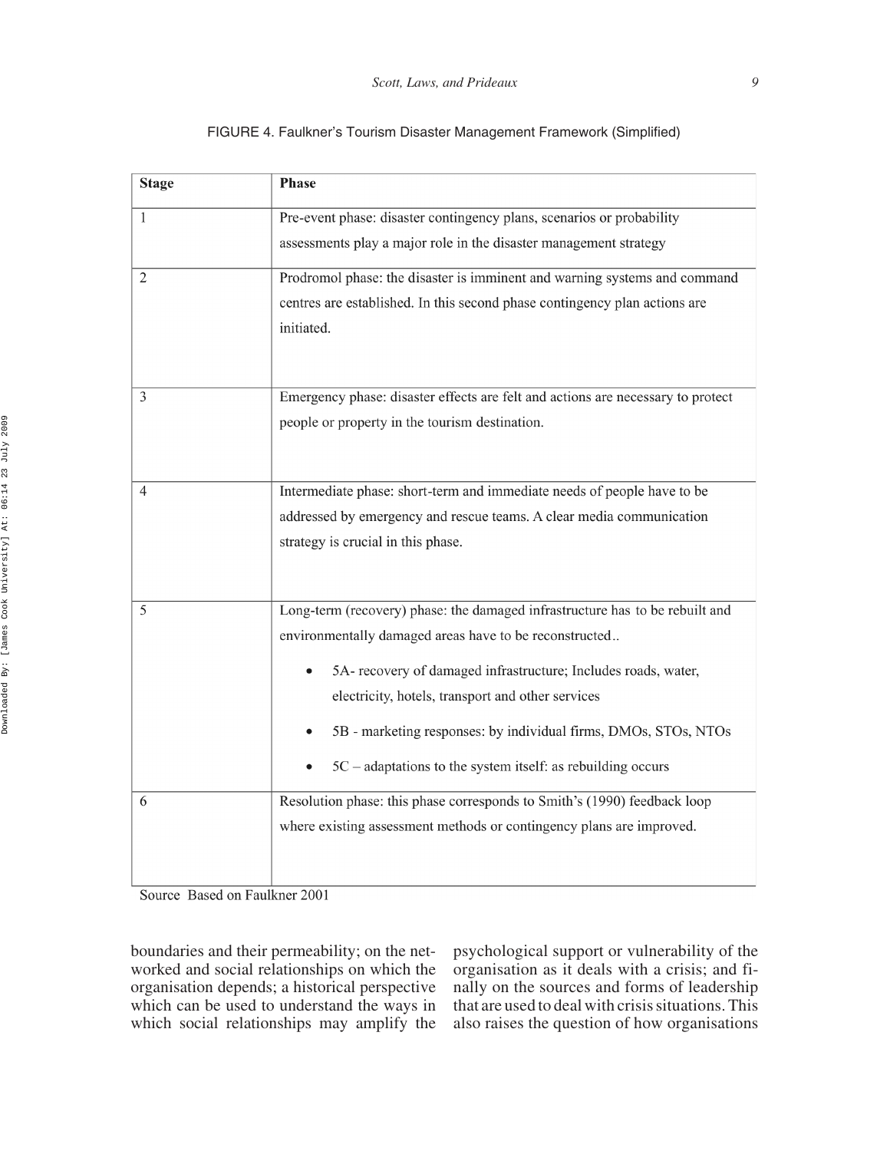| <b>Stage</b> | Phase                                                                                                                                                   |
|--------------|---------------------------------------------------------------------------------------------------------------------------------------------------------|
| $\mathbf{1}$ | Pre-event phase: disaster contingency plans, scenarios or probability                                                                                   |
|              | assessments play a major role in the disaster management strategy                                                                                       |
| 2            | Prodromol phase: the disaster is imminent and warning systems and command<br>centres are established. In this second phase contingency plan actions are |
|              | initiated.                                                                                                                                              |
|              |                                                                                                                                                         |
| 3            | Emergency phase: disaster effects are felt and actions are necessary to protect                                                                         |
|              | people or property in the tourism destination.                                                                                                          |
| 4            | Intermediate phase: short-term and immediate needs of people have to be                                                                                 |
|              | addressed by emergency and rescue teams. A clear media communication                                                                                    |
|              | strategy is crucial in this phase.                                                                                                                      |
|              |                                                                                                                                                         |
| 5            | Long-term (recovery) phase: the damaged infrastructure has to be rebuilt and                                                                            |
|              | environmentally damaged areas have to be reconstructed                                                                                                  |
|              | 5A- recovery of damaged infrastructure; Includes roads, water,                                                                                          |
|              | electricity, hotels, transport and other services                                                                                                       |
|              | 5B - marketing responses: by individual firms, DMOs, STOs, NTOs                                                                                         |
|              | $5C$ – adaptations to the system itself: as rebuilding occurs                                                                                           |
| 6            | Resolution phase: this phase corresponds to Smith's (1990) feedback loop                                                                                |
|              | where existing assessment methods or contingency plans are improved.                                                                                    |
|              |                                                                                                                                                         |

#### FIGURE 4. Faulkner's Tourism Disaster Management Framework (Simplified)

Source Based on Faulkner 2001

boundaries and their permeability; on the networked and social relationships on which the organisation depends; a historical perspective which can be used to understand the ways in which social relationships may amplify the

psychological support or vulnerability of the organisation as it deals with a crisis; and finally on the sources and forms of leadership that are used to deal with crisis situations. This also raises the question of how organisations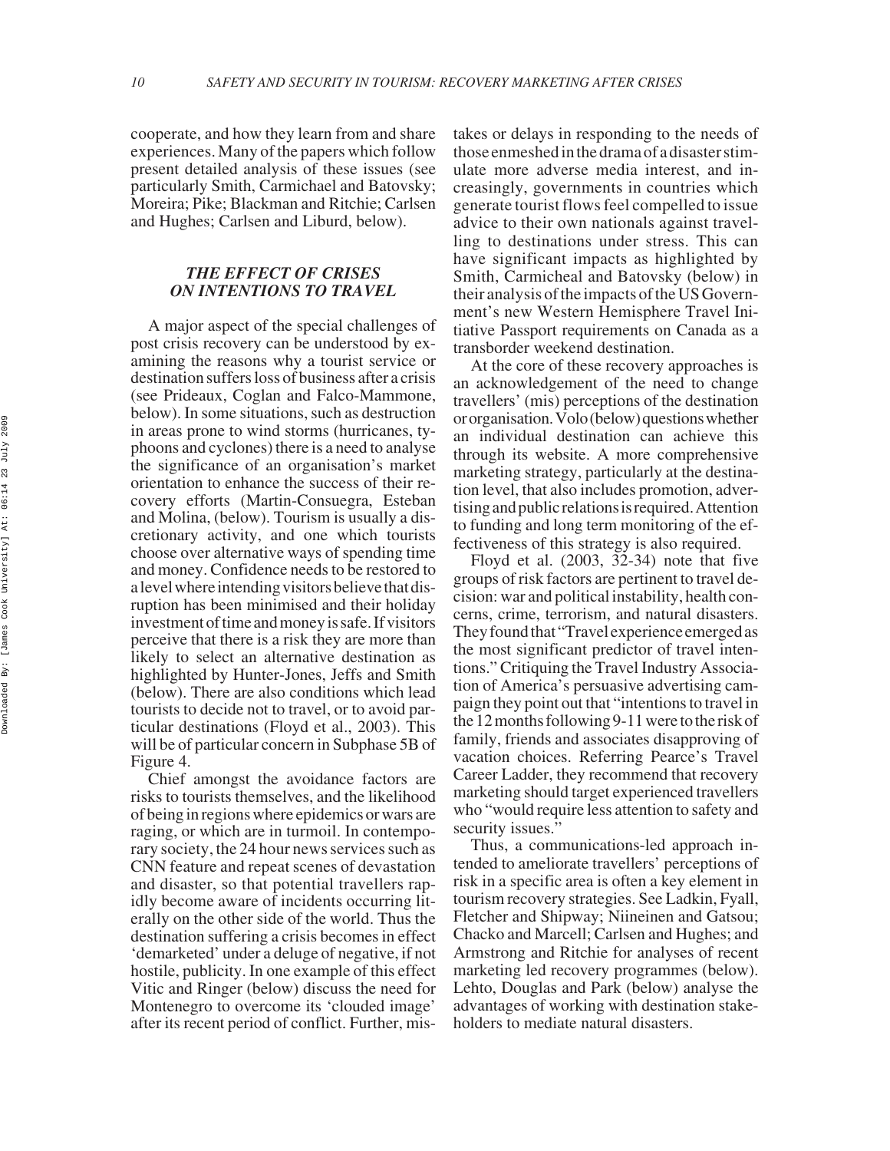cooperate, and how they learn from and share experiences. Many of the papers which follow present detailed analysis of these issues (see particularly Smith, Carmichael and Batovsky; Moreira; Pike; Blackman and Ritchie; Carlsen and Hughes; Carlsen and Liburd, below).

## *THE EFFECT OF CRISES ON INTENTIONS TO TRAVEL*

A major aspect of the special challenges of post crisis recovery can be understood by examining the reasons why a tourist service or destination suffers loss of business after a crisis (see Prideaux, Coglan and Falco-Mammone, below). In some situations, such as destruction in areas prone to wind storms (hurricanes, typhoons and cyclones) there is a need to analyse the significance of an organisation's market orientation to enhance the success of their recovery efforts (Martin-Consuegra, Esteban and Molina, (below). Tourism is usually a discretionary activity, and one which tourists choose over alternative ways of spending time and money. Confidence needs to be restored to a level where intending visitors believe that disruption has been minimised and their holiday investment of time and money is safe. If visitors perceive that there is a risk they are more than likely to select an alternative destination as highlighted by Hunter-Jones, Jeffs and Smith (below). There are also conditions which lead tourists to decide not to travel, or to avoid particular destinations (Floyd et al., 2003). This will be of particular concern in Subphase 5B of Figure 4.

Chief amongst the avoidance factors are risks to tourists themselves, and the likelihood of being in regions where epidemicsor wars are raging, or which are in turmoil. In contemporary society, the 24 hour news services such as CNN feature and repeat scenes of devastation and disaster, so that potential travellers rapidly become aware of incidents occurring literally on the other side of the world. Thus the destination suffering a crisis becomes in effect 'demarketed' under a deluge of negative, if not hostile, publicity. In one example of this effect Vitic and Ringer (below) discuss the need for Montenegro to overcome its 'clouded image' after its recent period of conflict. Further, mis-

takes or delays in responding to the needs of thoseenmeshedinthedramaofadisasterstimulate more adverse media interest, and increasingly, governments in countries which generate tourist flows feel compelled to issue advice to their own nationals against travelling to destinations under stress. This can have significant impacts as highlighted by Smith, Carmicheal and Batovsky (below) in their analysis of the impacts of the US Government's new Western Hemisphere Travel Initiative Passport requirements on Canada as a transborder weekend destination.

At the core of these recovery approaches is an acknowledgement of the need to change travellers' (mis) perceptions of the destination ororganisation.Volo(below)questionswhether an individual destination can achieve this through its website. A more comprehensive marketing strategy, particularly at the destination level, that also includes promotion, advertisingandpublicrelationsisrequired.Attention to funding and long term monitoring of the effectiveness of this strategy is also required.

Floyd et al. (2003, 32-34) note that five groups of risk factors are pertinent to travel decision: war and political instability, health concerns, crime, terrorism, and natural disasters. They found that "Travel experience emerged as the most significant predictor of travel intentions." Critiquing the Travel Industry Association of America's persuasive advertising campaign they point out that "intentions to travel in the 12 months following 9-11 were to the risk of family, friends and associates disapproving of vacation choices. Referring Pearce's Travel Career Ladder, they recommend that recovery marketing should target experienced travellers who "would require less attention to safety and security issues."

Thus, a communications-led approach intended to ameliorate travellers' perceptions of risk in a specific area is often a key element in tourism recovery strategies. See Ladkin, Fyall, Fletcher and Shipway; Niineinen and Gatsou; Chacko and Marcell; Carlsen and Hughes; and Armstrong and Ritchie for analyses of recent marketing led recovery programmes (below). Lehto, Douglas and Park (below) analyse the advantages of working with destination stakeholders to mediate natural disasters.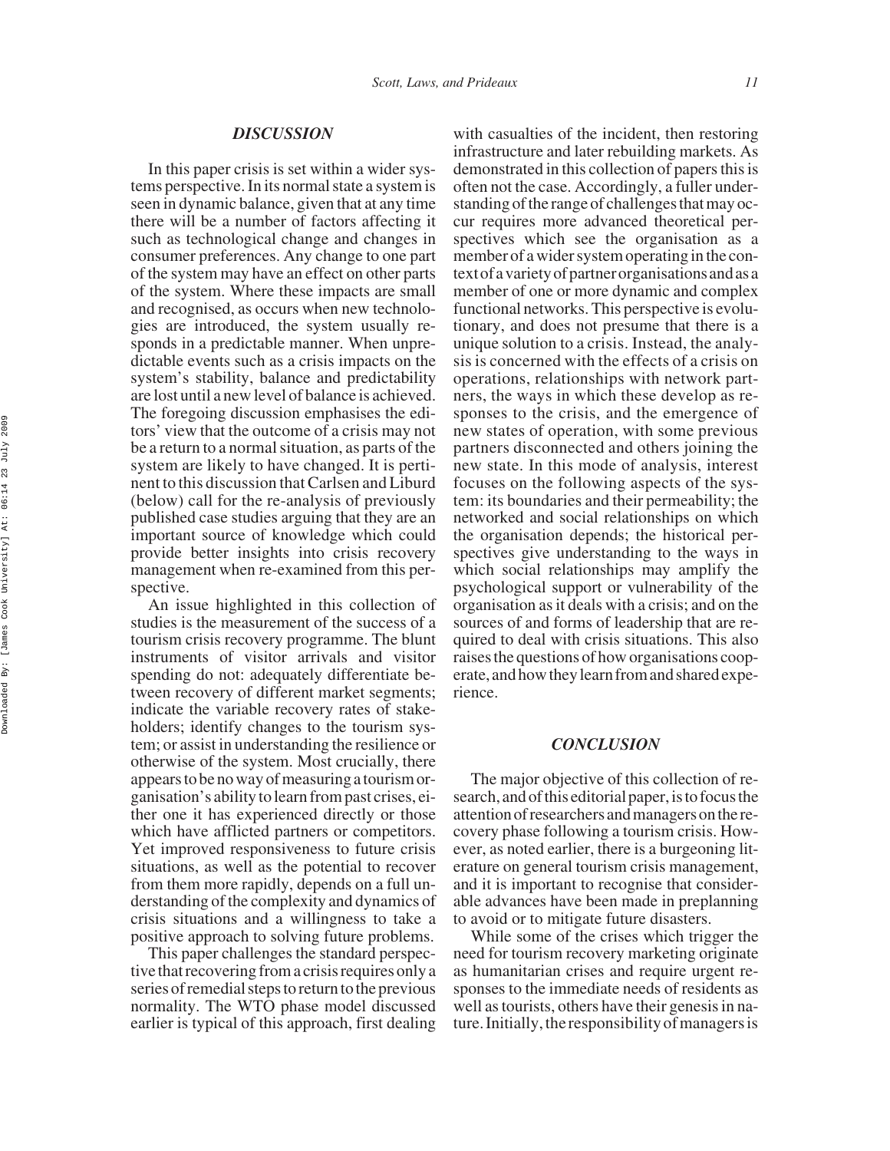### *DISCUSSION*

In this paper crisis is set within a wider systems perspective. In its normal state a system is seen in dynamic balance, given that at any time there will be a number of factors affecting it such as technological change and changes in consumer preferences. Any change to one part of the system may have an effect on other parts of the system. Where these impacts are small and recognised, as occurs when new technologies are introduced, the system usually responds in a predictable manner. When unpredictable events such as a crisis impacts on the system's stability, balance and predictability are lost until a new level of balance is achieved. The foregoing discussion emphasises the editors' view that the outcome of a crisis may not be a return to a normal situation, as parts of the system are likely to have changed. It is pertinent to this discussion that Carlsen and Liburd (below) call for the re-analysis of previously published case studies arguing that they are an important source of knowledge which could provide better insights into crisis recovery management when re-examined from this perspective.

An issue highlighted in this collection of studies is the measurement of the success of a tourism crisis recovery programme. The blunt instruments of visitor arrivals and visitor spending do not: adequately differentiate between recovery of different market segments; indicate the variable recovery rates of stakeholders; identify changes to the tourism system; or assist in understanding the resilience or otherwise of the system. Most crucially, there appears to be no way of measuring a tourism organisation's ability to learn from past crises, either one it has experienced directly or those which have afflicted partners or competitors. Yet improved responsiveness to future crisis situations, as well as the potential to recover from them more rapidly, depends on a full understanding of the complexity and dynamics of crisis situations and a willingness to take a positive approach to solving future problems.

This paper challenges the standard perspective that recovering from a crisis requires only a series of remedial steps to return to the previous normality. The WTO phase model discussed earlier is typical of this approach, first dealing

with casualties of the incident, then restoring infrastructure and later rebuilding markets. As demonstrated in this collection of papers this is often not the case. Accordingly, a fuller understanding of the range of challenges that may occur requires more advanced theoretical perspectives which see the organisation as a member of a wider system operating in the contextofavarietyofpartnerorganisationsandasa member of one or more dynamic and complex functional networks. This perspective is evolutionary, and does not presume that there is a unique solution to a crisis. Instead, the analysis is concerned with the effects of a crisis on operations, relationships with network partners, the ways in which these develop as responses to the crisis, and the emergence of new states of operation, with some previous partners disconnected and others joining the new state. In this mode of analysis, interest focuses on the following aspects of the system: its boundaries and their permeability; the networked and social relationships on which the organisation depends; the historical perspectives give understanding to the ways in which social relationships may amplify the psychological support or vulnerability of the organisation as it deals with a crisis; and on the sources of and forms of leadership that are required to deal with crisis situations. This also raises the questions of how organisations cooperate, and how they learn from and shared experience.

#### *CONCLUSION*

The major objective of this collection of research, and of this editorial paper, is to focus the attentionofresearchersandmanagersontherecovery phase following a tourism crisis. However, as noted earlier, there is a burgeoning literature on general tourism crisis management, and it is important to recognise that considerable advances have been made in preplanning to avoid or to mitigate future disasters.

While some of the crises which trigger the need for tourism recovery marketing originate as humanitarian crises and require urgent responses to the immediate needs of residents as well as tourists, others have their genesis in nature.Initially, theresponsibilityofmanagersis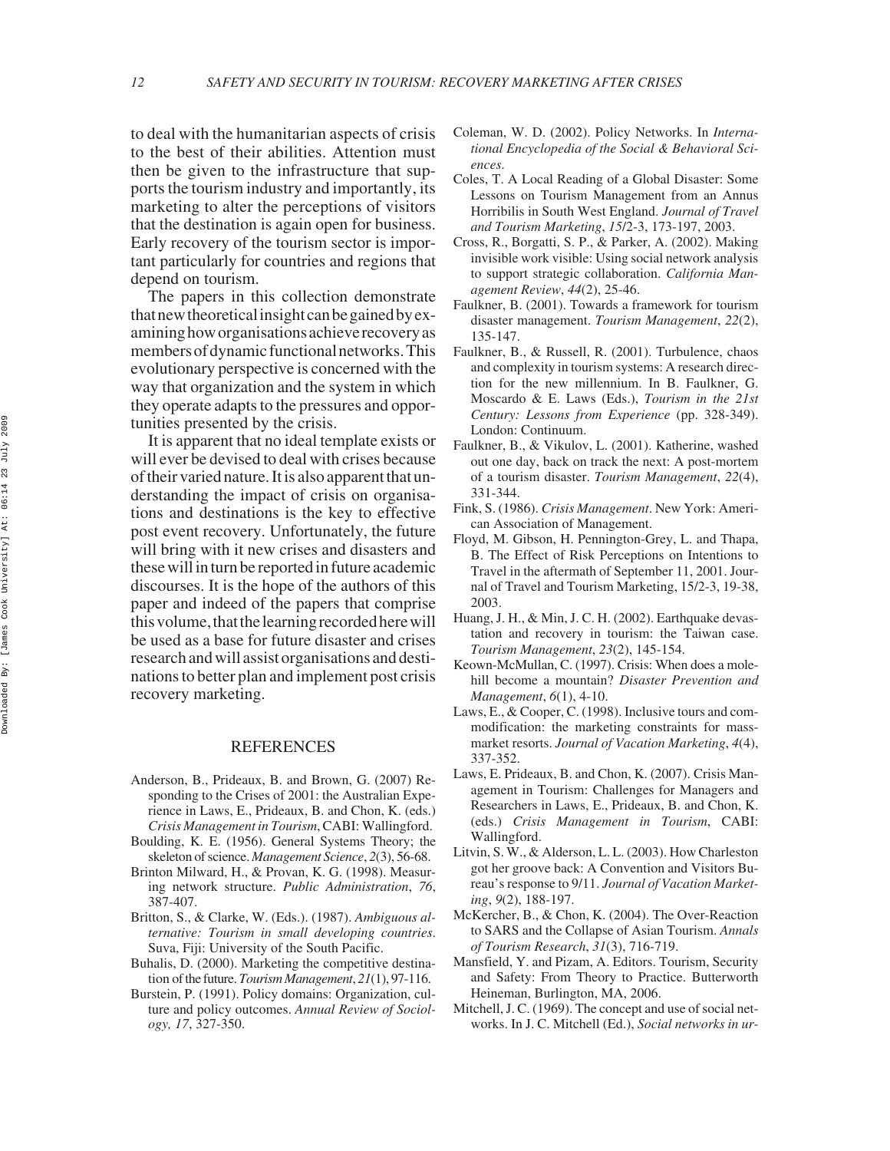to deal with the humanitarian aspects of crisis to the best of their abilities. Attention must then be given to the infrastructure that supports the tourism industry and importantly, its marketing to alter the perceptions of visitors that the destination is again open for business. Early recovery of the tourism sector is important particularly for countries and regions that depend on tourism.

The papers in this collection demonstrate thatnewtheoreticalinsightcanbegainedbyexamininghoworganisationsachieverecoveryas members of dynamic functional networks. This evolutionary perspective is concerned with the way that organization and the system in which they operate adapts to the pressures and opportunities presented by the crisis.

It is apparent that no ideal template exists or will ever be devised to deal with crises because of their varied nature. It is also apparent that understanding the impact of crisis on organisations and destinations is the key to effective post event recovery. Unfortunately, the future will bring with it new crises and disasters and these will in turn be reported in future academic discourses. It is the hope of the authors of this paper and indeed of the papers that comprise this volume, that the learning recorded here will be used as a base for future disaster and crises research and will assist organisations and destinations to better plan and implement post crisis recovery marketing.

#### REFERENCES

- Anderson, B., Prideaux, B. and Brown, G. (2007) Responding to the Crises of 2001: the Australian Experience in Laws, E., Prideaux, B. and Chon, K. (eds.) *Crisis Management in Tourism*, CABI: Wallingford.
- Boulding, K. E. (1956). General Systems Theory; the skeleton of science. *Management Science*, *2*(3), 56-68.
- Brinton Milward, H., & Provan, K. G. (1998). Measuring network structure. *Public Administration*, *76*, 387-407.
- Britton, S., & Clarke, W. (Eds.). (1987). *Ambiguous alternative: Tourism in small developing countries*. Suva, Fiji: University of the South Pacific.
- Buhalis, D. (2000). Marketing the competitive destination of the future. *Tourism Management*, *21*(1), 97-116.
- Burstein, P. (1991). Policy domains: Organization, culture and policy outcomes. *Annual Review of Sociology, 17*, 327-350.
- Coleman, W. D. (2002). Policy Networks. In *International Encyclopedia of the Social & Behavioral Sciences*.
- Coles, T. A Local Reading of a Global Disaster: Some Lessons on Tourism Management from an Annus Horribilis in South West England. *Journal of Travel and Tourism Marketing*, *15*/2-3, 173-197, 2003.
- Cross, R., Borgatti, S. P., & Parker, A. (2002). Making invisible work visible: Using social network analysis to support strategic collaboration. *California Management Review*, *44*(2), 25-46.
- Faulkner, B. (2001). Towards a framework for tourism disaster management. *Tourism Management*, *22*(2), 135-147.
- Faulkner, B., & Russell, R. (2001). Turbulence, chaos and complexity in tourism systems: A research direction for the new millennium. In B. Faulkner, G. Moscardo & E. Laws (Eds.), *Tourism in the 21st Century: Lessons from Experience* (pp. 328-349). London: Continuum.
- Faulkner, B., & Vikulov, L. (2001). Katherine, washed out one day, back on track the next: A post-mortem of a tourism disaster. *Tourism Management*, *22*(4), 331-344.
- Fink, S. (1986). *Crisis Management*. New York: American Association of Management.
- Floyd, M. Gibson, H. Pennington-Grey, L. and Thapa, B. The Effect of Risk Perceptions on Intentions to Travel in the aftermath of September 11, 2001. Journal of Travel and Tourism Marketing, 15/2-3, 19-38, 2003.
- Huang, J. H., & Min, J. C. H. (2002). Earthquake devastation and recovery in tourism: the Taiwan case. *Tourism Management*, *23*(2), 145-154.
- Keown-McMullan, C. (1997). Crisis: When does a molehill become a mountain? *Disaster Prevention and Management*, *6*(1), 4-10.
- Laws, E., & Cooper, C. (1998). Inclusive tours and commodification: the marketing constraints for massmarket resorts. *Journal of Vacation Marketing*, *4*(4), 337-352.
- Laws, E. Prideaux, B. and Chon, K. (2007). Crisis Management in Tourism: Challenges for Managers and Researchers in Laws, E., Prideaux, B. and Chon, K. (eds.) *Crisis Management in Tourism*, CABI: Wallingford.
- Litvin, S. W., & Alderson, L. L. (2003). How Charleston got her groove back: A Convention and Visitors Bureau's response to 9/11. *Journal of Vacation Marketing*, *9*(2), 188-197.
- McKercher, B., & Chon, K. (2004). The Over-Reaction to SARS and the Collapse of Asian Tourism. *Annals of Tourism Research*, *31*(3), 716-719.
- Mansfield, Y. and Pizam, A. Editors. Tourism, Security and Safety: From Theory to Practice. Butterworth Heineman, Burlington, MA, 2006.
- Mitchell, J. C. (1969). The concept and use of social networks. In J. C. Mitchell (Ed.), *Social networks in ur-*